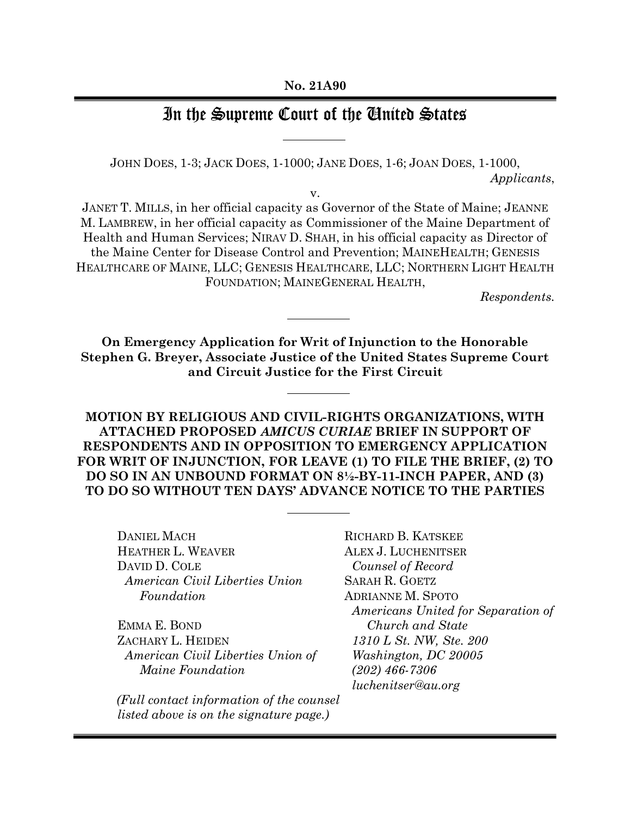## In the Supreme Court of the Ginited States

JOHN DOES, 1-3; JACK DOES, 1-1000; JANE DOES, 1-6; JOAN DOES, 1-1000, Applicants,

v.

JANET T. MILLS, in her official capacity as Governor of the State of Maine; JEANNE M. LAMBREW, in her official capacity as Commissioner of the Maine Department of Health and Human Services; NIRAV D. SHAH, in his official capacity as Director of the Maine Center for Disease Control and Prevention; MAINEHEALTH; GENESIS HEALTHCARE OF MAINE, LLC; GENESIS HEALTHCARE, LLC; NORTHERN LIGHT HEALTH FOUNDATION; MAINEGENERAL HEALTH,

Respondents.

On Emergency Application for Writ of Injunction to the Honorable Stephen G. Breyer, Associate Justice of the United States Supreme Court and Circuit Justice for the First Circuit

MOTION BY RELIGIOUS AND CIVIL-RIGHTS ORGANIZATIONS, WITH ATTACHED PROPOSED AMICUS CURIAE BRIEF IN SUPPORT OF RESPONDENTS AND IN OPPOSITION TO EMERGENCY APPLICATION FOR WRIT OF INJUNCTION, FOR LEAVE (1) TO FILE THE BRIEF, (2) TO DO SO IN AN UNBOUND FORMAT ON 8½-BY-11-INCH PAPER, AND (3) TO DO SO WITHOUT TEN DAYS' ADVANCE NOTICE TO THE PARTIES

DANIEL MACH HEATHER L. WEAVER DAVID D. COLE American Civil Liberties Union Foundation

EMMA E. BOND ZACHARY L. HEIDEN American Civil Liberties Union of Maine Foundation

(Full contact information of the counsel listed above is on the signature page.)

RICHARD B. KATSKEE ALEX J. LUCHENITSER Counsel of Record SARAH R. GOETZ ADRIANNE M. SPOTO Americans United for Separation of Church and State 1310 L St. NW, Ste. 200 Washington, DC 20005 (202) 466-7306 luchenitser@au.org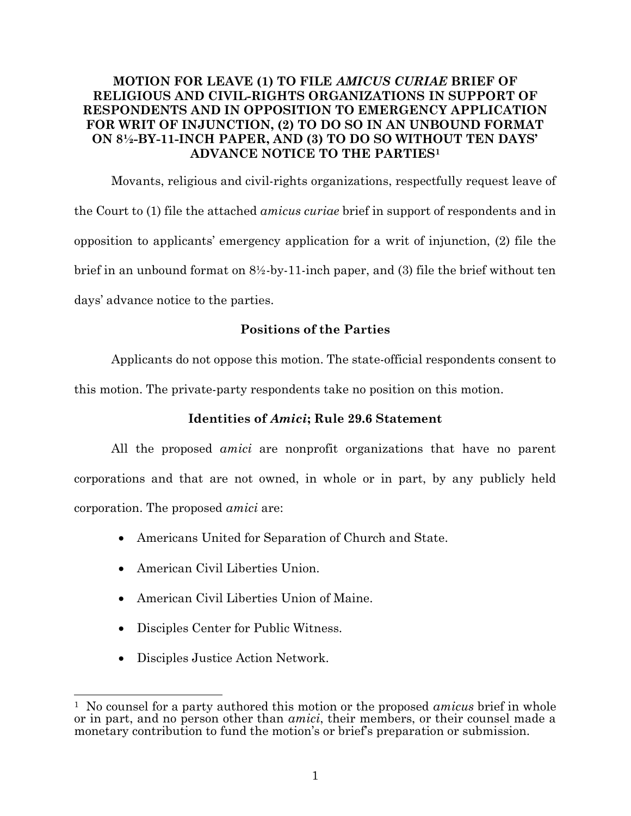### MOTION FOR LEAVE (1) TO FILE AMICUS CURIAE BRIEF OF RELIGIOUS AND CIVIL-RIGHTS ORGANIZATIONS IN SUPPORT OF RESPONDENTS AND IN OPPOSITION TO EMERGENCY APPLICATION FOR WRIT OF INJUNCTION, (2) TO DO SO IN AN UNBOUND FORMAT ON 8½-BY-11-INCH PAPER, AND (3) TO DO SO WITHOUT TEN DAYS' ADVANCE NOTICE TO THE PARTIES<sup>1</sup>

Movants, religious and civil-rights organizations, respectfully request leave of the Court to (1) file the attached amicus curiae brief in support of respondents and in opposition to applicants' emergency application for a writ of injunction, (2) file the brief in an unbound format on 8½-by-11-inch paper, and (3) file the brief without ten days' advance notice to the parties.

### Positions of the Parties

Applicants do not oppose this motion. The state-official respondents consent to this motion. The private-party respondents take no position on this motion.

### Identities of Amici; Rule 29.6 Statement

All the proposed amici are nonprofit organizations that have no parent corporations and that are not owned, in whole or in part, by any publicly held corporation. The proposed amici are:

- Americans United for Separation of Church and State.
- American Civil Liberties Union.
- American Civil Liberties Union of Maine.
- Disciples Center for Public Witness.
- Disciples Justice Action Network.

<sup>&</sup>lt;sup>1</sup> No counsel for a party authored this motion or the proposed *amicus* brief in whole or in part, and no person other than amici, their members, or their counsel made a monetary contribution to fund the motion's or brief's preparation or submission.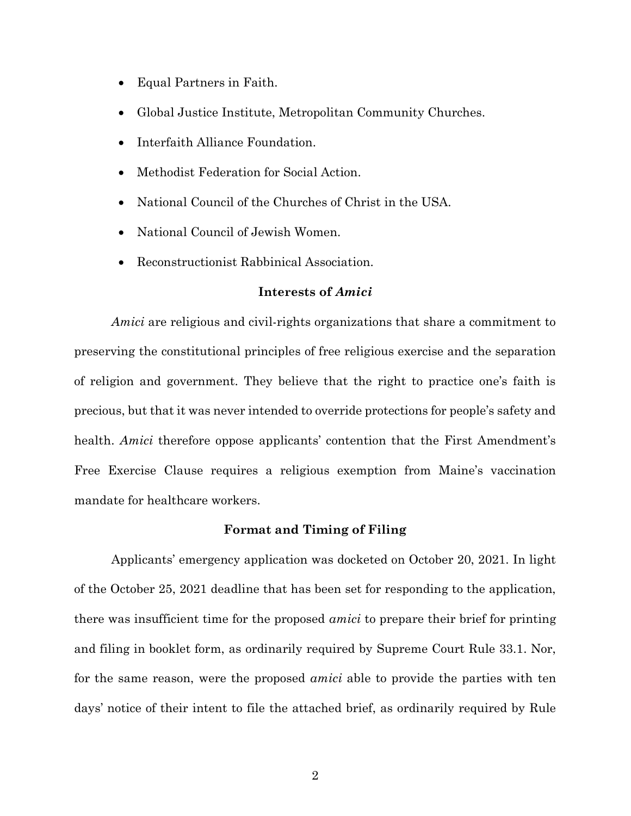- Equal Partners in Faith.
- Global Justice Institute, Metropolitan Community Churches.
- Interfaith Alliance Foundation.
- Methodist Federation for Social Action.
- National Council of the Churches of Christ in the USA.
- National Council of Jewish Women.
- Reconstructionist Rabbinical Association.

#### Interests of Amici

Amici are religious and civil-rights organizations that share a commitment to preserving the constitutional principles of free religious exercise and the separation of religion and government. They believe that the right to practice one's faith is precious, but that it was never intended to override protections for people's safety and health. Amici therefore oppose applicants' contention that the First Amendment's Free Exercise Clause requires a religious exemption from Maine's vaccination mandate for healthcare workers.

#### Format and Timing of Filing

Applicants' emergency application was docketed on October 20, 2021. In light of the October 25, 2021 deadline that has been set for responding to the application, there was insufficient time for the proposed amici to prepare their brief for printing and filing in booklet form, as ordinarily required by Supreme Court Rule 33.1. Nor, for the same reason, were the proposed *amici* able to provide the parties with ten days' notice of their intent to file the attached brief, as ordinarily required by Rule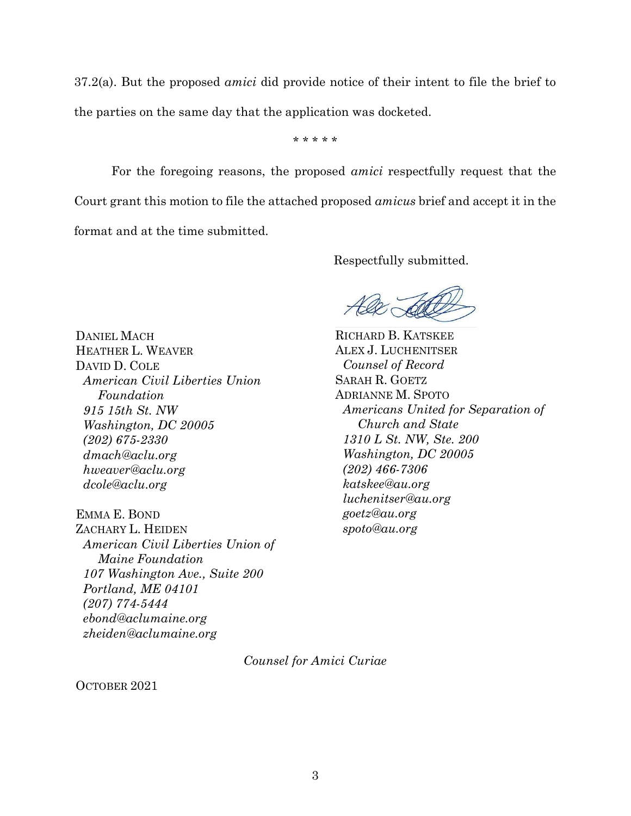37.2(a). But the proposed amici did provide notice of their intent to file the brief to the parties on the same day that the application was docketed.

\* \* \* \* \*

For the foregoing reasons, the proposed *amici* respectfully request that the Court grant this motion to file the attached proposed amicus brief and accept it in the format and at the time submitted.

Respectfully submitted.

DANIEL MACH HEATHER L. WEAVER DAVID D. COLE American Civil Liberties Union Foundation 915 15th St. NW Washington, DC 20005 (202) 675-2330 dmach@aclu.org hweaver@aclu.org dcole@aclu.org

EMMA E. BOND ZACHARY L. HEIDEN American Civil Liberties Union of Maine Foundation 107 Washington Ave., Suite 200 Portland, ME 04101 (207) 774-5444 ebond@aclumaine.org zheiden@aclumaine.org

RICHARD B. KATSKEE ALEX J. LUCHENITSER Counsel of Record SARAH R. GOETZ ADRIANNE M. SPOTO Americans United for Separation of Church and State 1310 L St. NW, Ste. 200 Washington, DC 20005 (202) 466-7306 katskee@au.org luchenitser@au.org goetz@au.org spoto@au.org

Counsel for Amici Curiae

OCTOBER 2021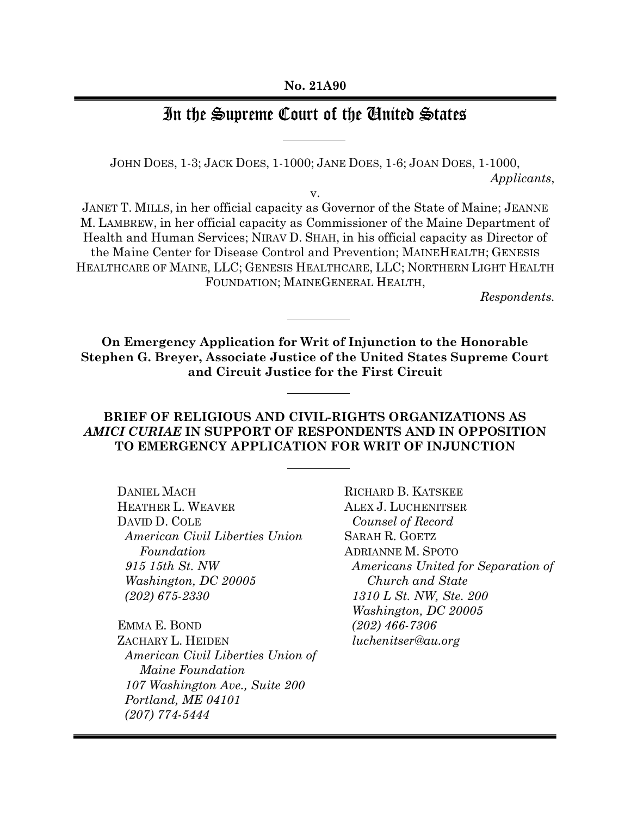## In the Supreme Court of the Ginited States

JOHN DOES, 1-3; JACK DOES, 1-1000; JANE DOES, 1-6; JOAN DOES, 1-1000, Applicants,

v.

JANET T. MILLS, in her official capacity as Governor of the State of Maine; JEANNE M. LAMBREW, in her official capacity as Commissioner of the Maine Department of Health and Human Services; NIRAV D. SHAH, in his official capacity as Director of the Maine Center for Disease Control and Prevention; MAINEHEALTH; GENESIS HEALTHCARE OF MAINE, LLC; GENESIS HEALTHCARE, LLC; NORTHERN LIGHT HEALTH FOUNDATION; MAINEGENERAL HEALTH,

Respondents.

On Emergency Application for Writ of Injunction to the Honorable Stephen G. Breyer, Associate Justice of the United States Supreme Court and Circuit Justice for the First Circuit

### BRIEF OF RELIGIOUS AND CIVIL-RIGHTS ORGANIZATIONS AS AMICI CURIAE IN SUPPORT OF RESPONDENTS AND IN OPPOSITION TO EMERGENCY APPLICATION FOR WRIT OF INJUNCTION

DANIEL MACH HEATHER L. WEAVER DAVID D. COLE American Civil Liberties Union Foundation 915 15th St. NW Washington, DC 20005 (202) 675-2330

EMMA E. BOND ZACHARY L. HEIDEN American Civil Liberties Union of Maine Foundation 107 Washington Ave., Suite 200 Portland, ME 04101 (207) 774-5444

RICHARD B. KATSKEE ALEX J. LUCHENITSER Counsel of Record SARAH R. GOETZ ADRIANNE M. SPOTO Americans United for Separation of Church and State 1310 L St. NW, Ste. 200 Washington, DC 20005 (202) 466-7306 luchenitser@au.org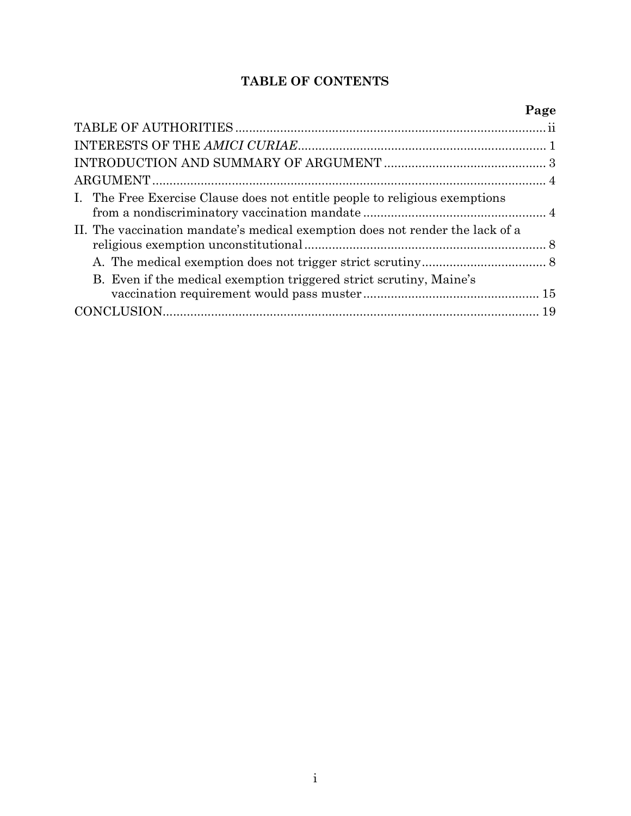## TABLE OF CONTENTS

|                                                                               | Page |
|-------------------------------------------------------------------------------|------|
|                                                                               |      |
|                                                                               |      |
|                                                                               |      |
|                                                                               |      |
| I. The Free Exercise Clause does not entitle people to religious exemptions   |      |
| II. The vaccination mandate's medical exemption does not render the lack of a |      |
|                                                                               |      |
| B. Even if the medical exemption triggered strict scrutiny, Maine's           |      |
|                                                                               |      |
|                                                                               |      |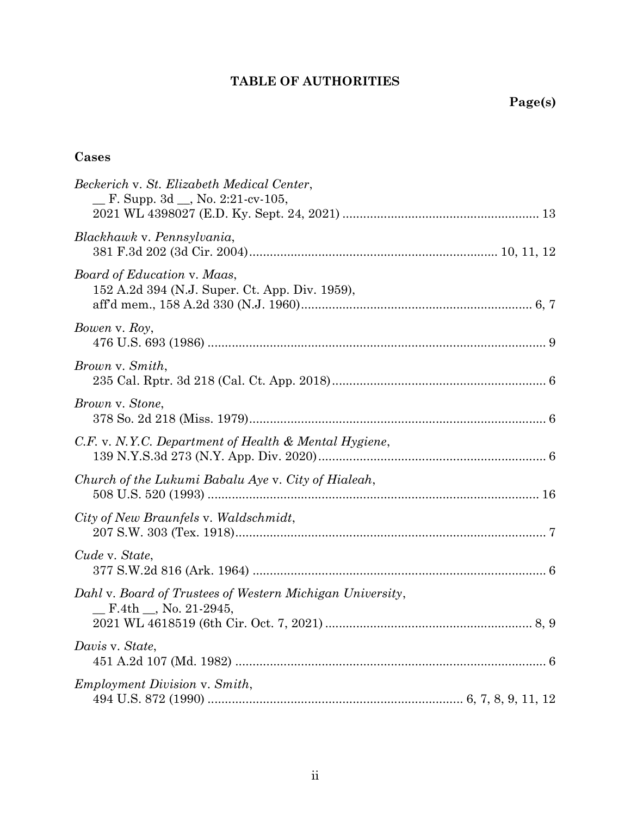## TABLE OF AUTHORITIES

## Cases

| Beckerich v. St. Elizabeth Medical Center,<br>$\Gamma$ . Supp. 3d $\Gamma$ , No. 2:21-cv-105,  |
|------------------------------------------------------------------------------------------------|
| Blackhawk v. Pennsylvania,                                                                     |
| Board of Education v. Maas,<br>152 A.2d 394 (N.J. Super. Ct. App. Div. 1959),                  |
| Bowen v. Roy,                                                                                  |
| Brown v. Smith,                                                                                |
| Brown v. Stone,                                                                                |
| C.F. v. N.Y.C. Department of Health & Mental Hygiene,                                          |
| Church of the Lukumi Babalu Aye v. City of Hialeah,                                            |
| City of New Braunfels v. Waldschmidt,                                                          |
| Cude v. State,                                                                                 |
| Dahl v. Board of Trustees of Western Michigan University,<br>$F.4th$ <sub>,</sub> No. 21-2945, |
| Davis v. State,                                                                                |
| <i>Employment Division v. Smith,</i>                                                           |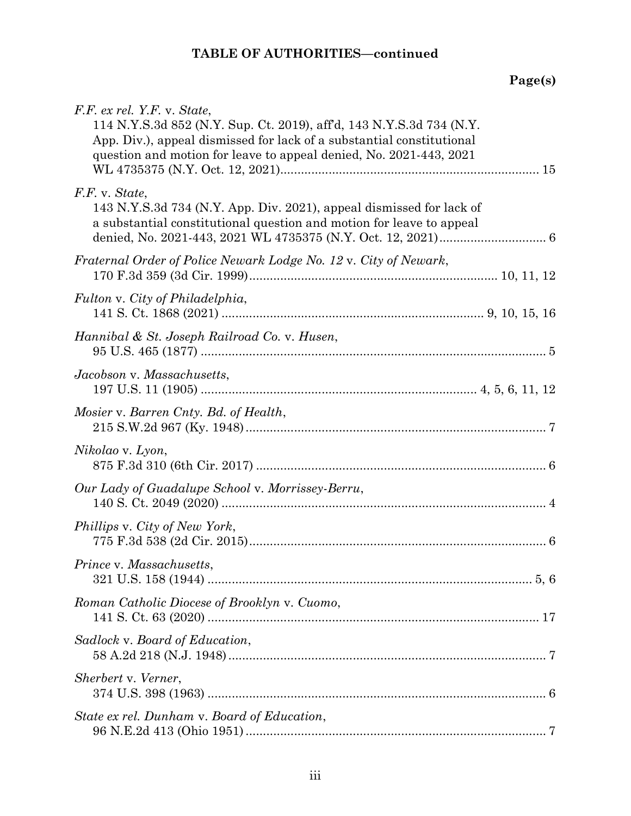| F.F. ex rel. Y.F. v. State,<br>114 N.Y.S.3d 852 (N.Y. Sup. Ct. 2019), aff'd, 143 N.Y.S.3d 734 (N.Y.<br>App. Div.), appeal dismissed for lack of a substantial constitutional<br>question and motion for leave to appeal denied, No. 2021-443, 2021 |  |
|----------------------------------------------------------------------------------------------------------------------------------------------------------------------------------------------------------------------------------------------------|--|
| F.F. v. State,<br>143 N.Y.S.3d 734 (N.Y. App. Div. 2021), appeal dismissed for lack of<br>a substantial constitutional question and motion for leave to appeal                                                                                     |  |
| Fraternal Order of Police Newark Lodge No. 12 v. City of Newark,                                                                                                                                                                                   |  |
| Fulton v. City of Philadelphia,                                                                                                                                                                                                                    |  |
| Hannibal & St. Joseph Railroad Co. v. Husen,                                                                                                                                                                                                       |  |
| Jacobson v. Massachusetts,                                                                                                                                                                                                                         |  |
| Mosier v. Barren Cnty. Bd. of Health,                                                                                                                                                                                                              |  |
| Nikolao v. Lyon,                                                                                                                                                                                                                                   |  |
| Our Lady of Guadalupe School v. Morrissey-Berru,                                                                                                                                                                                                   |  |
| Phillips v. City of New York,                                                                                                                                                                                                                      |  |
| Prince v. Massachusetts.                                                                                                                                                                                                                           |  |
| Roman Catholic Diocese of Brooklyn v. Cuomo,                                                                                                                                                                                                       |  |
| Sadlock v. Board of Education,                                                                                                                                                                                                                     |  |
| Sherbert v. Verner,                                                                                                                                                                                                                                |  |
| State ex rel. Dunham v. Board of Education,                                                                                                                                                                                                        |  |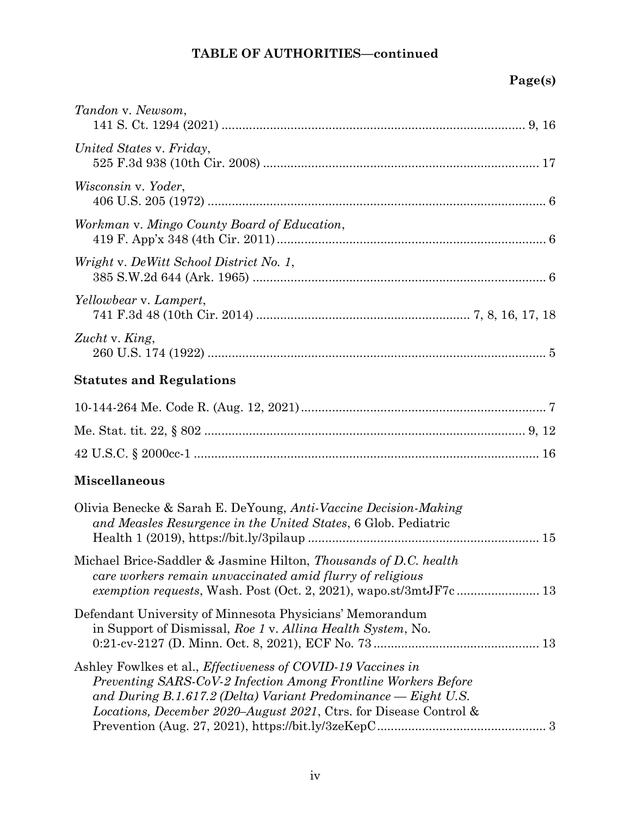| Tandon v. Newsom,                                                                                                                                                                                                                                                       |
|-------------------------------------------------------------------------------------------------------------------------------------------------------------------------------------------------------------------------------------------------------------------------|
| United States v. Friday,                                                                                                                                                                                                                                                |
| Wisconsin v. Yoder,                                                                                                                                                                                                                                                     |
| Workman v. Mingo County Board of Education,                                                                                                                                                                                                                             |
| Wright v. DeWitt School District No. 1,                                                                                                                                                                                                                                 |
| Yellowbear v. Lampert,                                                                                                                                                                                                                                                  |
| Zucht v. King,                                                                                                                                                                                                                                                          |
| <b>Statutes and Regulations</b>                                                                                                                                                                                                                                         |
|                                                                                                                                                                                                                                                                         |
|                                                                                                                                                                                                                                                                         |
|                                                                                                                                                                                                                                                                         |
| <b>Miscellaneous</b>                                                                                                                                                                                                                                                    |
| Olivia Benecke & Sarah E. DeYoung, Anti-Vaccine Decision-Making<br>and Measles Resurgence in the United States, 6 Glob. Pediatric                                                                                                                                       |
| Michael Brice-Saddler & Jasmine Hilton, Thousands of D.C. health<br>care workers remain unvaccinated amid flurry of religious                                                                                                                                           |
| Defendant University of Minnesota Physicians' Memorandum<br>in Support of Dismissal, Roe 1 v. Alling Health System, No.                                                                                                                                                 |
| Ashley Fowlkes et al., Effectiveness of COVID-19 Vaccines in<br>Preventing SARS-CoV-2 Infection Among Frontline Workers Before<br>and During B.1.617.2 (Delta) Variant Predominance $-$ Eight U.S.<br>Locations, December 2020-August 2021, Ctrs. for Disease Control & |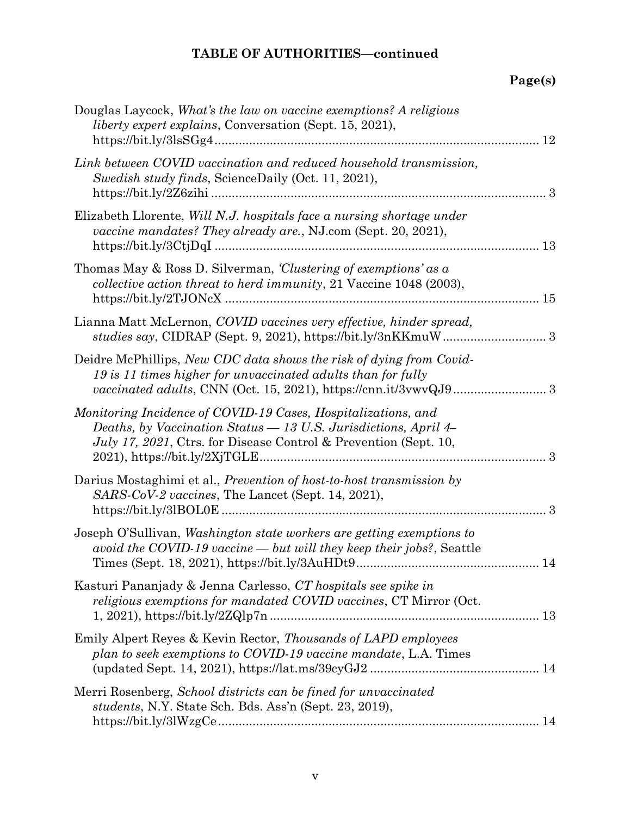| Douglas Laycock, What's the law on vaccine exemptions? A religious<br><i>liberty expert explains, Conversation (Sept. 15, 2021),</i><br>12                                                                        |
|-------------------------------------------------------------------------------------------------------------------------------------------------------------------------------------------------------------------|
| Link between COVID vaccination and reduced household transmission,<br>Swedish study finds, ScienceDaily (Oct. 11, 2021),                                                                                          |
| Elizabeth Llorente, Will N.J. hospitals face a nursing shortage under<br>vaccine mandates? They already are., NJ.com (Sept. 20, 2021),                                                                            |
| Thomas May & Ross D. Silverman, <i>Clustering of exemptions' as a</i><br>collective action threat to herd immunity, 21 Vaccine 1048 (2003),                                                                       |
| Lianna Matt McLernon, COVID vaccines very effective, hinder spread,                                                                                                                                               |
| Deidre McPhillips, New CDC data shows the risk of dying from Covid-<br>19 is 11 times higher for unvaccinated adults than for fully                                                                               |
| Monitoring Incidence of COVID-19 Cases, Hospitalizations, and<br>Deaths, by Vaccination Status — 13 U.S. Jurisdictions, April 4–<br><i>July 17, 2021</i> , Ctrs. for Disease Control & Prevention (Sept. 10,<br>3 |
| Darius Mostaghimi et al., <i>Prevention of host-to-host transmission by</i><br>SARS-CoV-2 vaccines, The Lancet (Sept. 14, 2021),                                                                                  |
| Joseph O'Sullivan, Washington state workers are getting exemptions to<br>avoid the COVID-19 vaccine $-$ but will they keep their jobs?, Seattle<br>14                                                             |
| Kasturi Pananjady & Jenna Carlesso, CT hospitals see spike in<br>religious exemptions for mandated COVID vaccines, CT Mirror (Oct.                                                                                |
| Emily Alpert Reyes & Kevin Rector, Thousands of LAPD employees<br>plan to seek exemptions to COVID-19 vaccine mandate, L.A. Times                                                                                 |
| Merri Rosenberg, School districts can be fined for unvaccinated<br><i>students</i> , N.Y. State Sch. Bds. Ass'n (Sept. 23, 2019),                                                                                 |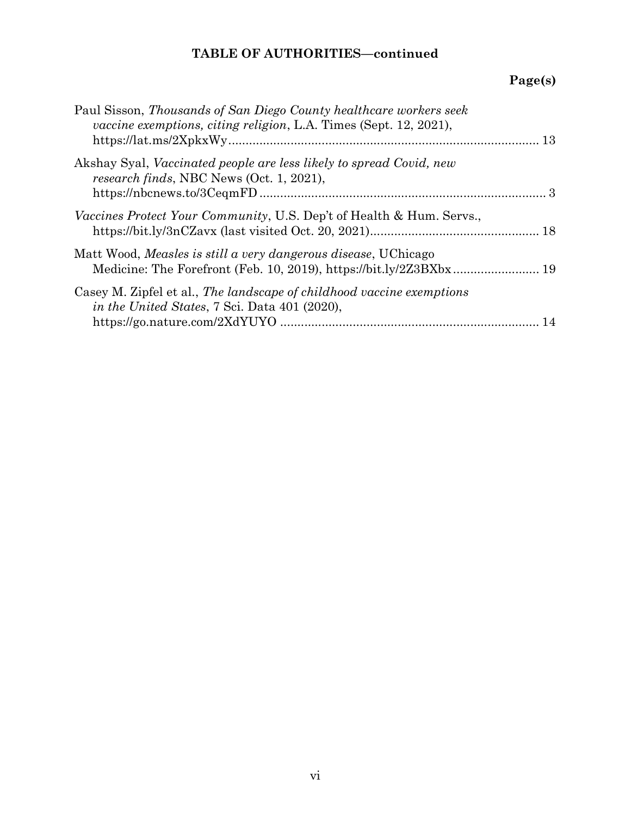| Paul Sisson, Thousands of San Diego County healthcare workers seek<br><i>vaccine exemptions, citing religion, L.A. Times (Sept. 12, 2021),</i> |  |
|------------------------------------------------------------------------------------------------------------------------------------------------|--|
| Akshay Syal, Vaccinated people are less likely to spread Covid, new<br>research finds, NBC News (Oct. 1, 2021),                                |  |
| <i>Vaccines Protect Your Community</i> , U.S. Dep't of Health & Hum. Servs.,                                                                   |  |
| Matt Wood, Measles is still a very dangerous disease, UChicago                                                                                 |  |
| Casey M. Zipfel et al., The landscape of childhood vaccine exemptions<br><i>in the United States,</i> 7 Sci. Data 401 (2020),                  |  |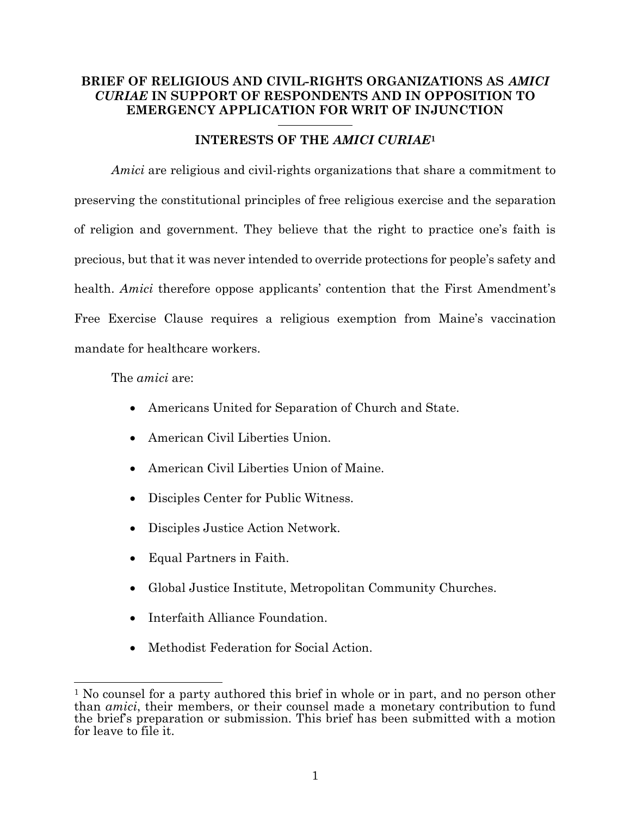### BRIEF OF RELIGIOUS AND CIVIL-RIGHTS ORGANIZATIONS AS AMICI CURIAE IN SUPPORT OF RESPONDENTS AND IN OPPOSITION TO EMERGENCY APPLICATION FOR WRIT OF INJUNCTION

#### INTERESTS OF THE AMICI CURIAE<sup>1</sup>

Amici are religious and civil-rights organizations that share a commitment to preserving the constitutional principles of free religious exercise and the separation of religion and government. They believe that the right to practice one's faith is precious, but that it was never intended to override protections for people's safety and health. Amici therefore oppose applicants' contention that the First Amendment's Free Exercise Clause requires a religious exemption from Maine's vaccination mandate for healthcare workers.

The amici are:

- Americans United for Separation of Church and State.
- American Civil Liberties Union.
- American Civil Liberties Union of Maine.
- Disciples Center for Public Witness.
- Disciples Justice Action Network.
- Equal Partners in Faith.
- Global Justice Institute, Metropolitan Community Churches.
- Interfaith Alliance Foundation.
- Methodist Federation for Social Action.

<sup>&</sup>lt;sup>1</sup> No counsel for a party authored this brief in whole or in part, and no person other than amici, their members, or their counsel made a monetary contribution to fund the brief's preparation or submission. This brief has been submitted with a motion for leave to file it.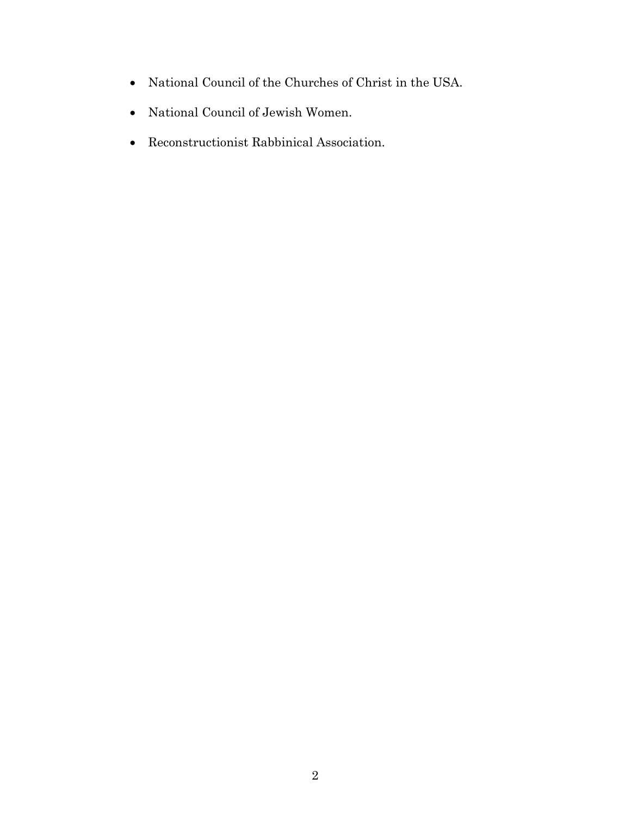- National Council of the Churches of Christ in the USA.
- National Council of Jewish Women.
- Reconstructionist Rabbinical Association.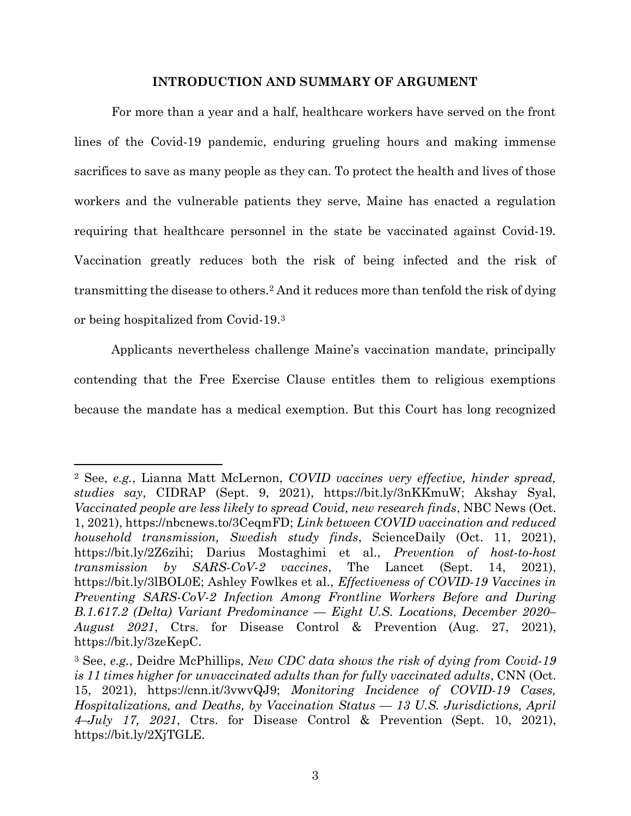#### INTRODUCTION AND SUMMARY OF ARGUMENT

For more than a year and a half, healthcare workers have served on the front lines of the Covid-19 pandemic, enduring grueling hours and making immense sacrifices to save as many people as they can. To protect the health and lives of those workers and the vulnerable patients they serve, Maine has enacted a regulation requiring that healthcare personnel in the state be vaccinated against Covid-19. Vaccination greatly reduces both the risk of being infected and the risk of transmitting the disease to others.2 And it reduces more than tenfold the risk of dying or being hospitalized from Covid-19.<sup>3</sup>

Applicants nevertheless challenge Maine's vaccination mandate, principally contending that the Free Exercise Clause entitles them to religious exemptions because the mandate has a medical exemption. But this Court has long recognized

<sup>2</sup> See, e.g., Lianna Matt McLernon, COVID vaccines very effective, hinder spread, studies say, CIDRAP (Sept. 9, 2021), https://bit.ly/3nKKmuW; Akshay Syal, Vaccinated people are less likely to spread Covid, new research finds, NBC News (Oct. 1, 2021), https://nbcnews.to/3CeqmFD; Link between COVID vaccination and reduced household transmission, Swedish study finds, ScienceDaily (Oct. 11, 2021), https://bit.ly/2Z6zihi; Darius Mostaghimi et al., Prevention of host-to-host transmission by SARS-CoV-2 vaccines, The Lancet (Sept. 14, 2021), https://bit.ly/3lBOL0E; Ashley Fowlkes et al., Effectiveness of COVID-19 Vaccines in Preventing SARS-CoV-2 Infection Among Frontline Workers Before and During B.1.617.2 (Delta) Variant Predominance — Eight U.S. Locations, December 2020– August 2021, Ctrs. for Disease Control & Prevention (Aug. 27, 2021), https://bit.ly/3zeKepC.

<sup>&</sup>lt;sup>3</sup> See, e.g., Deidre McPhillips, New CDC data shows the risk of dying from Covid-19 is 11 times higher for unvaccinated adults than for fully vaccinated adults, CNN (Oct. 15, 2021), https://cnn.it/3vwvQJ9; Monitoring Incidence of COVID-19 Cases, Hospitalizations, and Deaths, by Vaccination Status — 13 U.S. Jurisdictions, April 4–July 17, 2021, Ctrs. for Disease Control & Prevention (Sept. 10, 2021), https://bit.ly/2XjTGLE.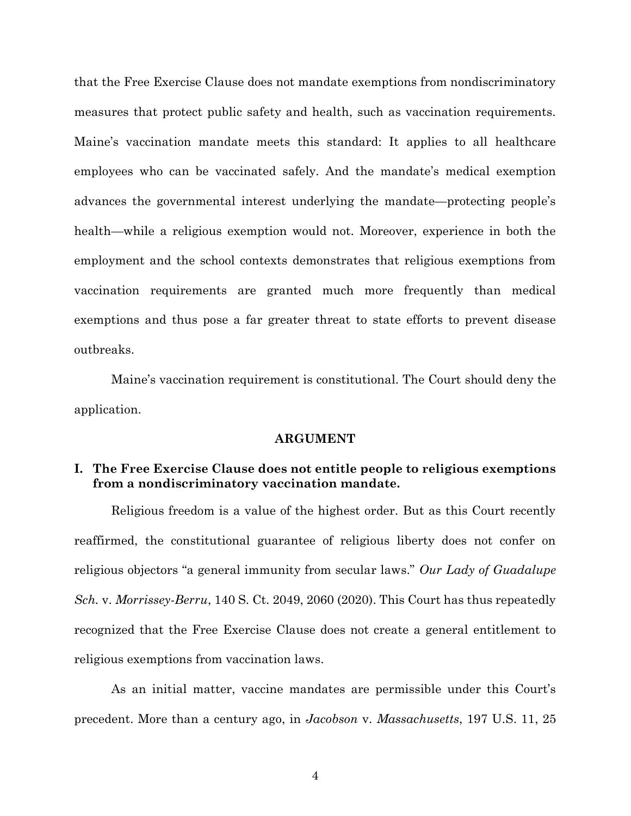that the Free Exercise Clause does not mandate exemptions from nondiscriminatory measures that protect public safety and health, such as vaccination requirements. Maine's vaccination mandate meets this standard: It applies to all healthcare employees who can be vaccinated safely. And the mandate's medical exemption advances the governmental interest underlying the mandate—protecting people's health—while a religious exemption would not. Moreover, experience in both the employment and the school contexts demonstrates that religious exemptions from vaccination requirements are granted much more frequently than medical exemptions and thus pose a far greater threat to state efforts to prevent disease outbreaks.

Maine's vaccination requirement is constitutional. The Court should deny the application.

#### ARGUMENT

#### I. The Free Exercise Clause does not entitle people to religious exemptions from a nondiscriminatory vaccination mandate.

Religious freedom is a value of the highest order. But as this Court recently reaffirmed, the constitutional guarantee of religious liberty does not confer on religious objectors "a general immunity from secular laws." Our Lady of Guadalupe Sch. v. Morrissey-Berru, 140 S. Ct. 2049, 2060 (2020). This Court has thus repeatedly recognized that the Free Exercise Clause does not create a general entitlement to religious exemptions from vaccination laws.

As an initial matter, vaccine mandates are permissible under this Court's precedent. More than a century ago, in Jacobson v. Massachusetts, 197 U.S. 11, 25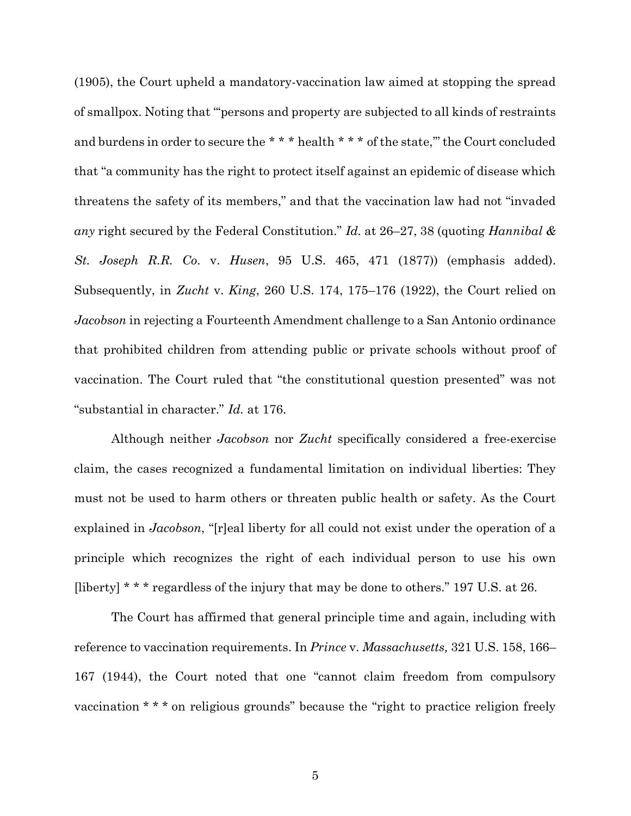(1905), the Court upheld a mandatory-vaccination law aimed at stopping the spread of smallpox. Noting that "'persons and property are subjected to all kinds of restraints and burdens in order to secure the \*\*\* \* health \*\*\* of the state," the Court concluded that "a community has the right to protect itself against an epidemic of disease which threatens the safety of its members," and that the vaccination law had not "invaded any right secured by the Federal Constitution." Id. at 26–27, 38 (quoting Hannibal  $\&$ St. Joseph R.R. Co. v. Husen, 95 U.S. 465, 471 (1877)) (emphasis added). Subsequently, in Zucht v. King, 260 U.S. 174, 175–176 (1922), the Court relied on Jacobson in rejecting a Fourteenth Amendment challenge to a San Antonio ordinance that prohibited children from attending public or private schools without proof of vaccination. The Court ruled that "the constitutional question presented" was not "substantial in character." Id. at 176.

Although neither *Jacobson* nor Zucht specifically considered a free-exercise claim, the cases recognized a fundamental limitation on individual liberties: They must not be used to harm others or threaten public health or safety. As the Court explained in Jacobson, "[r]eal liberty for all could not exist under the operation of a principle which recognizes the right of each individual person to use his own [liberty] \* \* \* regardless of the injury that may be done to others." 197 U.S. at 26.

The Court has affirmed that general principle time and again, including with reference to vaccination requirements. In Prince v. Massachusetts, 321 U.S. 158, 166– 167 (1944), the Court noted that one "cannot claim freedom from compulsory vaccination \* \* \* on religious grounds" because the "right to practice religion freely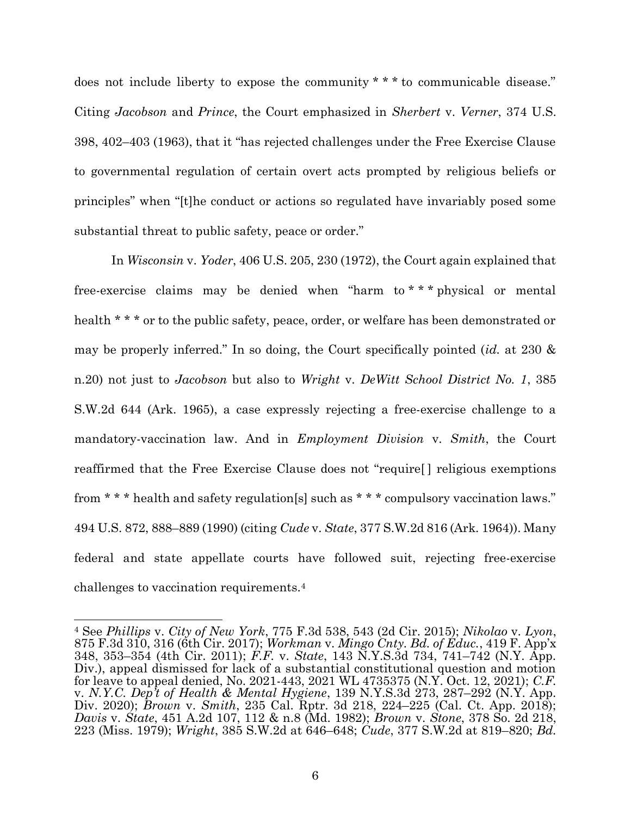does not include liberty to expose the community \* \* \* to communicable disease." Citing Jacobson and Prince, the Court emphasized in Sherbert v. Verner, 374 U.S. 398, 402–403 (1963), that it "has rejected challenges under the Free Exercise Clause to governmental regulation of certain overt acts prompted by religious beliefs or principles" when "[t]he conduct or actions so regulated have invariably posed some substantial threat to public safety, peace or order."

In Wisconsin v. Yoder, 406 U.S. 205, 230 (1972), the Court again explained that free-exercise claims may be denied when "harm to \* \* \* physical or mental health \* \* \* or to the public safety, peace, order, or welfare has been demonstrated or may be properly inferred." In so doing, the Court specifically pointed (id. at 230  $\&$ n.20) not just to Jacobson but also to Wright v. DeWitt School District No. 1, 385 S.W.2d 644 (Ark. 1965), a case expressly rejecting a free-exercise challenge to a mandatory-vaccination law. And in Employment Division v. Smith, the Court reaffirmed that the Free Exercise Clause does not "require[ ] religious exemptions from \* \* \* health and safety regulation[s] such as \* \* \* compulsory vaccination laws." 494 U.S. 872, 888–889 (1990) (citing Cude v. State, 377 S.W.2d 816 (Ark. 1964)). Many federal and state appellate courts have followed suit, rejecting free-exercise challenges to vaccination requirements.<sup>4</sup>

<sup>4</sup> See Phillips v. City of New York, 775 F.3d 538, 543 (2d Cir. 2015); Nikolao v. Lyon, 875 F.3d 310, 316 (6th Cir. 2017); Workman v. Mingo Cnty. Bd. of Educ., 419 F. App'x 348, 353–354 (4th Cir. 2011); F.F. v. State, 143 N.Y.S.3d 734, 741–742 (N.Y. App. Div.), appeal dismissed for lack of a substantial constitutional question and motion for leave to appeal denied, No. 2021-443, 2021 WL 4735375 (N.Y. Oct. 12, 2021); C.F. v. N.Y.C. Dep't of Health & Mental Hygiene, 139 N.Y.S.3d  $273$ ,  $287-292$  (N.Y. App. Div. 2020); Brown v. Smith, 235 Cal. Rptr. 3d 218, 224–225 (Cal. Ct. App. 2018); Davis v. State, 451 A.2d 107, 112 & n.8 (Md. 1982); Brown v. Stone, 378 So. 2d 218, 223 (Miss. 1979); Wright, 385 S.W.2d at 646–648; Cude, 377 S.W.2d at 819–820; Bd.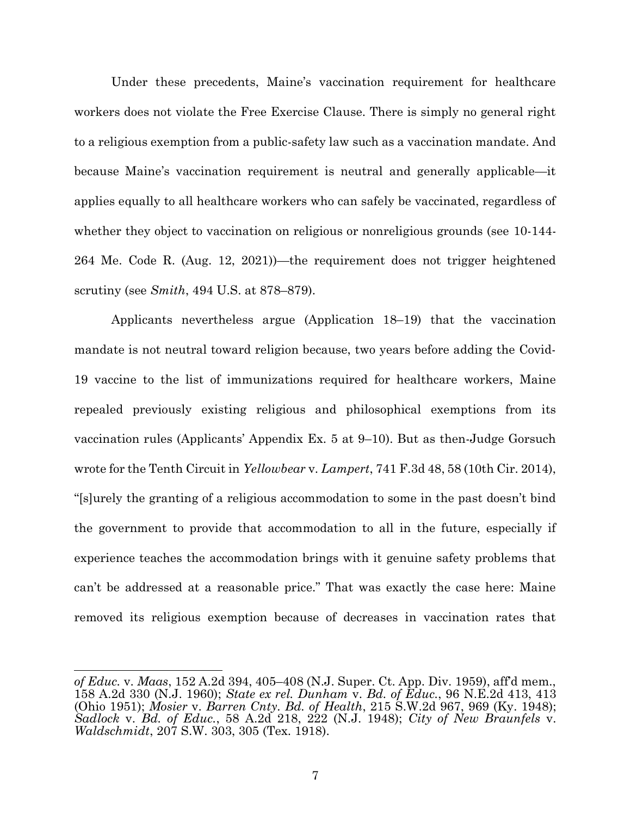Under these precedents, Maine's vaccination requirement for healthcare workers does not violate the Free Exercise Clause. There is simply no general right to a religious exemption from a public-safety law such as a vaccination mandate. And because Maine's vaccination requirement is neutral and generally applicable—it applies equally to all healthcare workers who can safely be vaccinated, regardless of whether they object to vaccination on religious or nonreligious grounds (see 10-144- 264 Me. Code R. (Aug. 12, 2021))—the requirement does not trigger heightened scrutiny (see Smith, 494 U.S. at 878–879).

Applicants nevertheless argue (Application 18–19) that the vaccination mandate is not neutral toward religion because, two years before adding the Covid-19 vaccine to the list of immunizations required for healthcare workers, Maine repealed previously existing religious and philosophical exemptions from its vaccination rules (Applicants' Appendix Ex. 5 at 9–10). But as then-Judge Gorsuch wrote for the Tenth Circuit in *Yellowbear v. Lampert*, 741 F.3d 48, 58 (10th Cir. 2014), "[s]urely the granting of a religious accommodation to some in the past doesn't bind the government to provide that accommodation to all in the future, especially if experience teaches the accommodation brings with it genuine safety problems that can't be addressed at a reasonable price." That was exactly the case here: Maine removed its religious exemption because of decreases in vaccination rates that

of Educ. v. Maas, 152 A.2d 394, 405–408 (N.J. Super. Ct. App. Div. 1959), aff'd mem., 158 A.2d 330 (N.J. 1960); State ex rel. Dunham v. Bd. of Educ., 96 N.E.2d 413, 413 (Ohio 1951); Mosier v. Barren Cnty. Bd. of Health, 215 S.W.2d 967, 969 (Ky. 1948); Sadlock v. Bd. of Educ., 58 A.2d 218, 222 (N.J. 1948); City of New Braunfels v. Waldschmidt, 207 S.W. 303, 305 (Tex. 1918).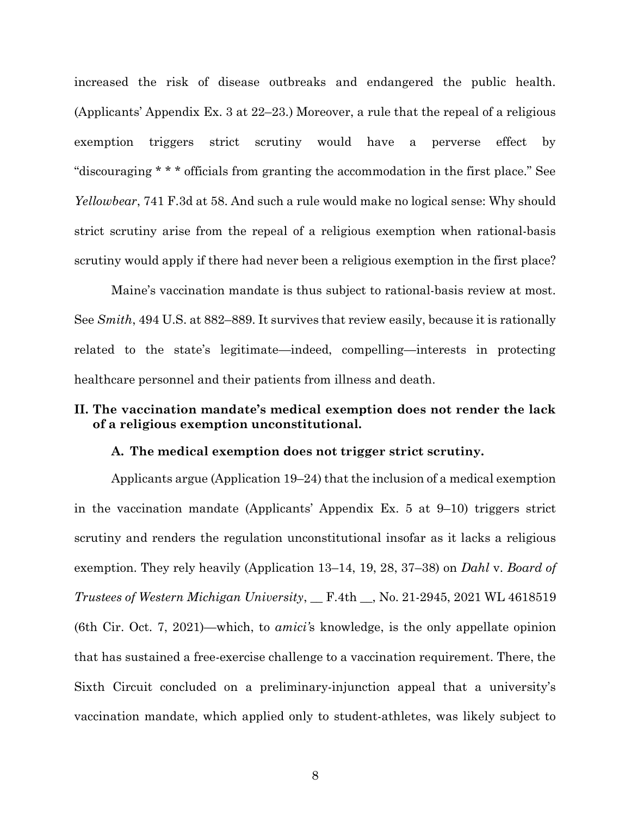increased the risk of disease outbreaks and endangered the public health. (Applicants' Appendix Ex. 3 at 22–23.) Moreover, a rule that the repeal of a religious exemption triggers strict scrutiny would have a perverse effect by "discouraging \* \* \* officials from granting the accommodation in the first place." See Yellowbear, 741 F.3d at 58. And such a rule would make no logical sense: Why should strict scrutiny arise from the repeal of a religious exemption when rational-basis scrutiny would apply if there had never been a religious exemption in the first place?

Maine's vaccination mandate is thus subject to rational-basis review at most. See Smith, 494 U.S. at 882–889. It survives that review easily, because it is rationally related to the state's legitimate—indeed, compelling—interests in protecting healthcare personnel and their patients from illness and death.

### II. The vaccination mandate's medical exemption does not render the lack of a religious exemption unconstitutional.

#### A. The medical exemption does not trigger strict scrutiny.

Applicants argue (Application 19–24) that the inclusion of a medical exemption in the vaccination mandate (Applicants' Appendix Ex. 5 at 9–10) triggers strict scrutiny and renders the regulation unconstitutional insofar as it lacks a religious exemption. They rely heavily (Application 13–14, 19, 28, 37–38) on Dahl v. Board of Trustees of Western Michigan University, \_\_ F.4th \_\_, No. 21-2945, 2021 WL 4618519 (6th Cir. Oct. 7, 2021)—which, to amici's knowledge, is the only appellate opinion that has sustained a free-exercise challenge to a vaccination requirement. There, the Sixth Circuit concluded on a preliminary-injunction appeal that a university's vaccination mandate, which applied only to student-athletes, was likely subject to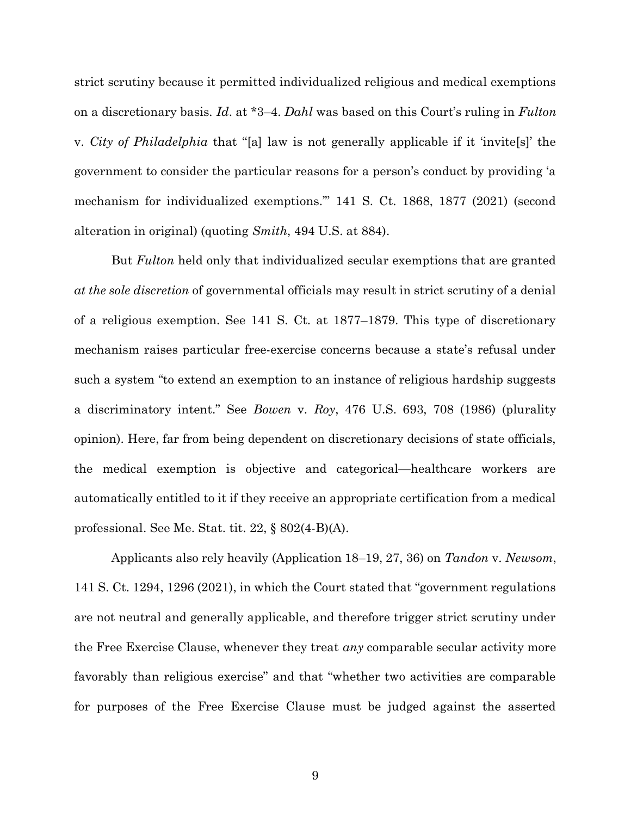strict scrutiny because it permitted individualized religious and medical exemptions on a discretionary basis. Id. at \*3–4. Dahl was based on this Court's ruling in Fulton v. City of Philadelphia that "[a] law is not generally applicable if it 'invite[s]' the government to consider the particular reasons for a person's conduct by providing 'a mechanism for individualized exemptions.'" 141 S. Ct. 1868, 1877 (2021) (second alteration in original) (quoting Smith, 494 U.S. at 884).

But Fulton held only that individualized secular exemptions that are granted at the sole discretion of governmental officials may result in strict scrutiny of a denial of a religious exemption. See 141 S. Ct. at 1877–1879. This type of discretionary mechanism raises particular free-exercise concerns because a state's refusal under such a system "to extend an exemption to an instance of religious hardship suggests a discriminatory intent." See Bowen v. Roy, 476 U.S. 693, 708 (1986) (plurality opinion). Here, far from being dependent on discretionary decisions of state officials, the medical exemption is objective and categorical—healthcare workers are automatically entitled to it if they receive an appropriate certification from a medical professional. See Me. Stat. tit. 22, § 802(4-B)(A).

Applicants also rely heavily (Application 18–19, 27, 36) on Tandon v. Newsom, 141 S. Ct. 1294, 1296 (2021), in which the Court stated that "government regulations are not neutral and generally applicable, and therefore trigger strict scrutiny under the Free Exercise Clause, whenever they treat *any* comparable secular activity more favorably than religious exercise" and that "whether two activities are comparable for purposes of the Free Exercise Clause must be judged against the asserted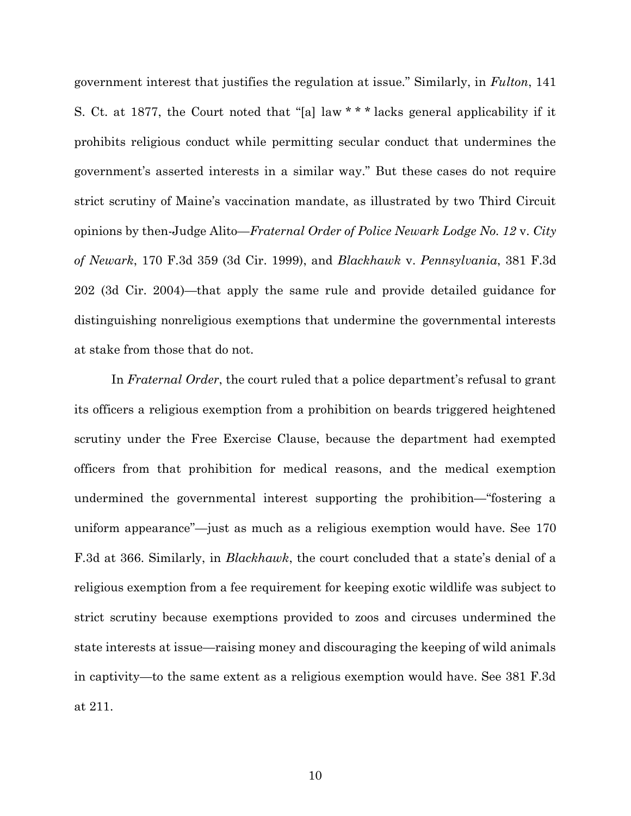government interest that justifies the regulation at issue." Similarly, in Fulton, 141 S. Ct. at 1877, the Court noted that "[a] law \* \* \* lacks general applicability if it prohibits religious conduct while permitting secular conduct that undermines the government's asserted interests in a similar way." But these cases do not require strict scrutiny of Maine's vaccination mandate, as illustrated by two Third Circuit opinions by then-Judge Alito—Fraternal Order of Police Newark Lodge No. 12 v. City of Newark, 170 F.3d 359 (3d Cir. 1999), and Blackhawk v. Pennsylvania, 381 F.3d 202 (3d Cir. 2004)—that apply the same rule and provide detailed guidance for distinguishing nonreligious exemptions that undermine the governmental interests at stake from those that do not.

In Fraternal Order, the court ruled that a police department's refusal to grant its officers a religious exemption from a prohibition on beards triggered heightened scrutiny under the Free Exercise Clause, because the department had exempted officers from that prohibition for medical reasons, and the medical exemption undermined the governmental interest supporting the prohibition—"fostering a uniform appearance"—just as much as a religious exemption would have. See 170 F.3d at 366. Similarly, in Blackhawk, the court concluded that a state's denial of a religious exemption from a fee requirement for keeping exotic wildlife was subject to strict scrutiny because exemptions provided to zoos and circuses undermined the state interests at issue—raising money and discouraging the keeping of wild animals in captivity—to the same extent as a religious exemption would have. See 381 F.3d at 211.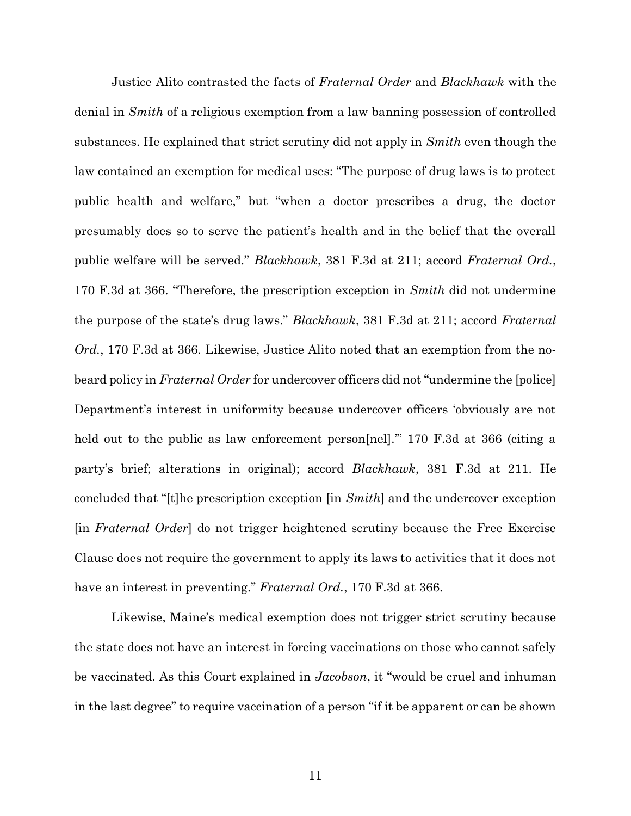Justice Alito contrasted the facts of Fraternal Order and Blackhawk with the denial in *Smith* of a religious exemption from a law banning possession of controlled substances. He explained that strict scrutiny did not apply in Smith even though the law contained an exemption for medical uses: "The purpose of drug laws is to protect public health and welfare," but "when a doctor prescribes a drug, the doctor presumably does so to serve the patient's health and in the belief that the overall public welfare will be served." Blackhawk, 381 F.3d at 211; accord Fraternal Ord., 170 F.3d at 366. "Therefore, the prescription exception in Smith did not undermine the purpose of the state's drug laws." Blackhawk, 381 F.3d at 211; accord Fraternal Ord., 170 F.3d at 366. Likewise, Justice Alito noted that an exemption from the nobeard policy in *Fraternal Order* for undercover officers did not "undermine the [police] Department's interest in uniformity because undercover officers 'obviously are not held out to the public as law enforcement person[nel]." 170 F.3d at 366 (citing a party's brief; alterations in original); accord Blackhawk, 381 F.3d at 211. He concluded that "[t]he prescription exception [in Smith] and the undercover exception [in Fraternal Order] do not trigger heightened scrutiny because the Free Exercise Clause does not require the government to apply its laws to activities that it does not have an interest in preventing." Fraternal Ord., 170 F.3d at 366.

Likewise, Maine's medical exemption does not trigger strict scrutiny because the state does not have an interest in forcing vaccinations on those who cannot safely be vaccinated. As this Court explained in Jacobson, it "would be cruel and inhuman in the last degree" to require vaccination of a person "if it be apparent or can be shown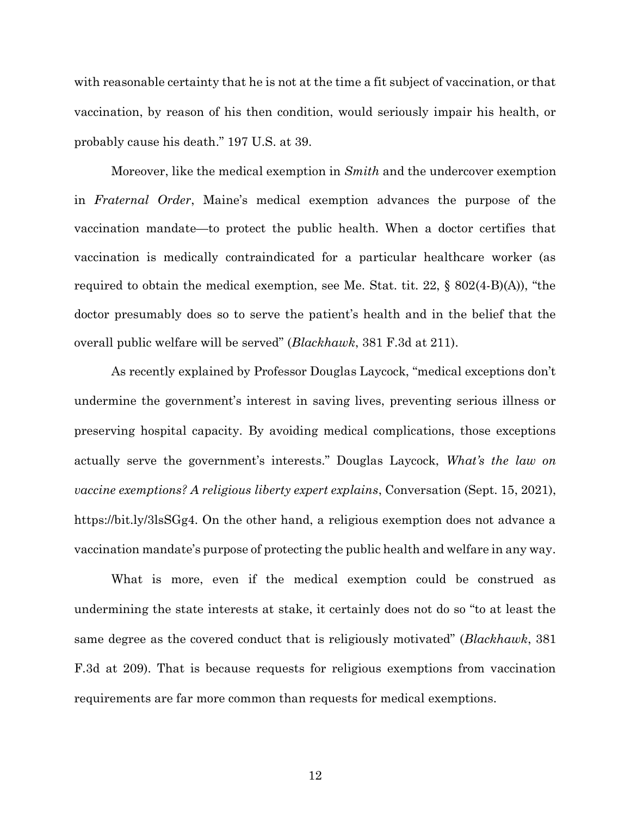with reasonable certainty that he is not at the time a fit subject of vaccination, or that vaccination, by reason of his then condition, would seriously impair his health, or probably cause his death." 197 U.S. at 39.

Moreover, like the medical exemption in *Smith* and the undercover exemption in Fraternal Order, Maine's medical exemption advances the purpose of the vaccination mandate—to protect the public health. When a doctor certifies that vaccination is medically contraindicated for a particular healthcare worker (as required to obtain the medical exemption, see Me. Stat. tit. 22, § 802(4-B)(A)), "the doctor presumably does so to serve the patient's health and in the belief that the overall public welfare will be served" (Blackhawk, 381 F.3d at 211).

As recently explained by Professor Douglas Laycock, "medical exceptions don't undermine the government's interest in saving lives, preventing serious illness or preserving hospital capacity. By avoiding medical complications, those exceptions actually serve the government's interests." Douglas Laycock, What's the law on vaccine exemptions? A religious liberty expert explains, Conversation (Sept. 15, 2021), https://bit.ly/3lsSGg4. On the other hand, a religious exemption does not advance a vaccination mandate's purpose of protecting the public health and welfare in any way.

What is more, even if the medical exemption could be construed as undermining the state interests at stake, it certainly does not do so "to at least the same degree as the covered conduct that is religiously motivated" (*Blackhawk*, 381) F.3d at 209). That is because requests for religious exemptions from vaccination requirements are far more common than requests for medical exemptions.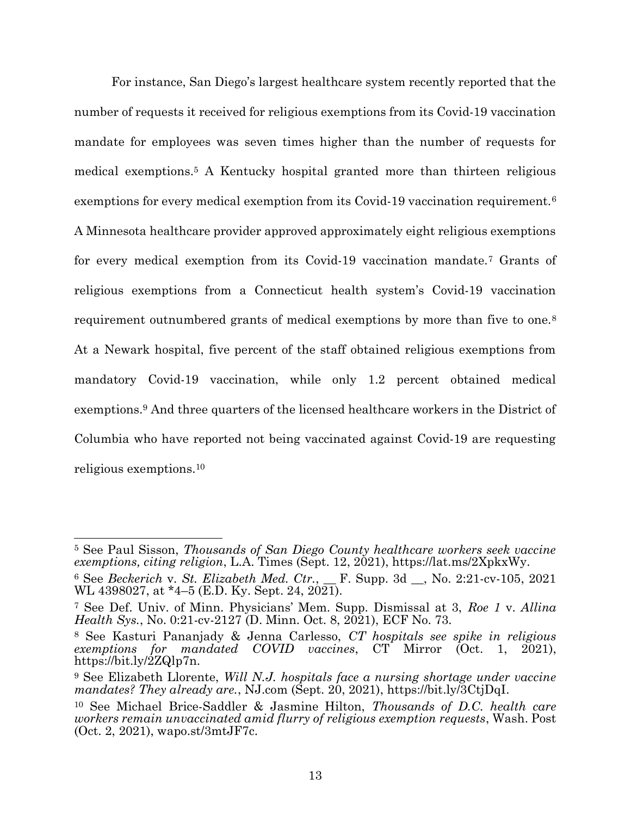For instance, San Diego's largest healthcare system recently reported that the number of requests it received for religious exemptions from its Covid-19 vaccination mandate for employees was seven times higher than the number of requests for medical exemptions.5 A Kentucky hospital granted more than thirteen religious exemptions for every medical exemption from its Covid-19 vaccination requirement.<sup>6</sup> A Minnesota healthcare provider approved approximately eight religious exemptions for every medical exemption from its Covid-19 vaccination mandate.7 Grants of religious exemptions from a Connecticut health system's Covid-19 vaccination requirement outnumbered grants of medical exemptions by more than five to one.<sup>8</sup> At a Newark hospital, five percent of the staff obtained religious exemptions from mandatory Covid-19 vaccination, while only 1.2 percent obtained medical exemptions.9 And three quarters of the licensed healthcare workers in the District of Columbia who have reported not being vaccinated against Covid-19 are requesting religious exemptions.<sup>10</sup>

<sup>5</sup> See Paul Sisson, Thousands of San Diego County healthcare workers seek vaccine exemptions, citing religion, L.A. Times (Sept. 12, 2021), https://lat.ms/2XpkxWy.

 $6$  See Beckerich v. St. Elizabeth Med. Ctr., F. Supp. 3d  $\,$ , No. 2:21-cv-105, 2021 WL 4398027, at \*4–5 (E.D. Ky. Sept. 24, 2021).

<sup>7</sup> See Def. Univ. of Minn. Physicians' Mem. Supp. Dismissal at 3, Roe 1 v. Allina Health Sys., No. 0:21-cv-2127 (D. Minn. Oct. 8, 2021), ECF No. 73.

<sup>8</sup> See Kasturi Pananjady & Jenna Carlesso, CT hospitals see spike in religious exemptions for mandated COVID vaccines, CT Mirror (Oct. 1, 2021), https://bit.ly/2ZQlp7n.

<sup>&</sup>lt;sup>9</sup> See Elizabeth Llorente, Will N.J. hospitals face a nursing shortage under vaccine mandates? They already are., NJ.com (Sept. 20, 2021), https://bit.ly/3CtjDqI.

<sup>10</sup> See Michael Brice-Saddler & Jasmine Hilton, Thousands of D.C. health care workers remain unvaccinated amid flurry of religious exemption requests, Wash. Post (Oct. 2, 2021), wapo.st/3mtJF7c.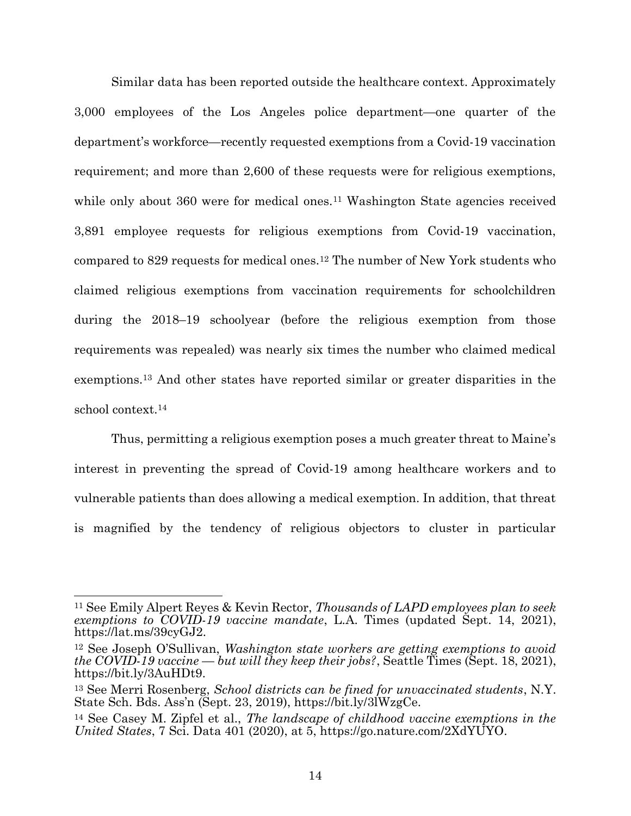Similar data has been reported outside the healthcare context. Approximately 3,000 employees of the Los Angeles police department—one quarter of the department's workforce—recently requested exemptions from a Covid-19 vaccination requirement; and more than 2,600 of these requests were for religious exemptions, while only about 360 were for medical ones.<sup>11</sup> Washington State agencies received 3,891 employee requests for religious exemptions from Covid-19 vaccination, compared to 829 requests for medical ones.12 The number of New York students who claimed religious exemptions from vaccination requirements for schoolchildren during the 2018–19 schoolyear (before the religious exemption from those requirements was repealed) was nearly six times the number who claimed medical exemptions.13 And other states have reported similar or greater disparities in the school context.<sup>14</sup>

Thus, permitting a religious exemption poses a much greater threat to Maine's interest in preventing the spread of Covid-19 among healthcare workers and to vulnerable patients than does allowing a medical exemption. In addition, that threat is magnified by the tendency of religious objectors to cluster in particular

<sup>&</sup>lt;sup>11</sup> See Emily Alpert Reyes & Kevin Rector, *Thousands of LAPD employees plan to seek* exemptions to COVID-19 vaccine mandate, L.A. Times (updated Sept. 14, 2021), https://lat.ms/39cyGJ2.

<sup>12</sup> See Joseph O'Sullivan, Washington state workers are getting exemptions to avoid the COVID-19 vaccine — but will they keep their jobs?, Seattle Times (Sept. 18, 2021), https://bit.ly/3AuHDt9.

<sup>&</sup>lt;sup>13</sup> See Merri Rosenberg, School districts can be fined for unvaccinated students, N.Y. State Sch. Bds. Ass'n (Sept. 23, 2019), https://bit.ly/3lWzgCe.

<sup>14</sup> See Casey M. Zipfel et al., The landscape of childhood vaccine exemptions in the United States, 7 Sci. Data 401 (2020), at 5, https://go.nature.com/2XdYUYO.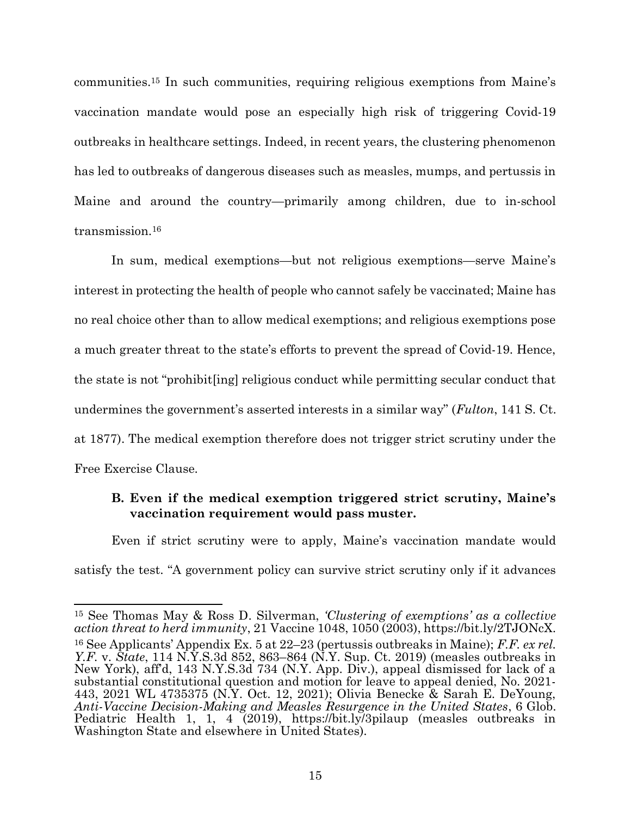communities.15 In such communities, requiring religious exemptions from Maine's vaccination mandate would pose an especially high risk of triggering Covid-19 outbreaks in healthcare settings. Indeed, in recent years, the clustering phenomenon has led to outbreaks of dangerous diseases such as measles, mumps, and pertussis in Maine and around the country—primarily among children, due to in-school transmission.<sup>16</sup>

In sum, medical exemptions—but not religious exemptions—serve Maine's interest in protecting the health of people who cannot safely be vaccinated; Maine has no real choice other than to allow medical exemptions; and religious exemptions pose a much greater threat to the state's efforts to prevent the spread of Covid-19. Hence, the state is not "prohibit[ing] religious conduct while permitting secular conduct that undermines the government's asserted interests in a similar way" (Fulton, 141 S. Ct. at 1877). The medical exemption therefore does not trigger strict scrutiny under the Free Exercise Clause.

### B. Even if the medical exemption triggered strict scrutiny, Maine's vaccination requirement would pass muster.

Even if strict scrutiny were to apply, Maine's vaccination mandate would satisfy the test. "A government policy can survive strict scrutiny only if it advances

<sup>15</sup> See Thomas May & Ross D. Silverman, 'Clustering of exemptions' as a collective action threat to herd immunity, 21 Vaccine 1048, 1050 (2003), https://bit.ly/2TJONcX.

<sup>&</sup>lt;sup>16</sup> See Applicants' Appendix Ex. 5 at  $22-23$  (pertussis outbreaks in Maine); F.F. ex rel. Y.F. v. State, 114 N.Y.S.3d 852, 863–864 (N.Y. Sup. Ct. 2019) (measles outbreaks in New York), aff'd, 143 N.Y.S.3d 734 (N.Y. App. Div.), appeal dismissed for lack of a substantial constitutional question and motion for leave to appeal denied, No. 2021- 443, 2021 WL 4735375 (N.Y. Oct. 12, 2021); Olivia Benecke & Sarah E. DeYoung, Anti-Vaccine Decision-Making and Measles Resurgence in the United States, 6 Glob. Pediatric Health 1, 1, 4 (2019), https://bit.ly/3pilaup (measles outbreaks in Washington State and elsewhere in United States).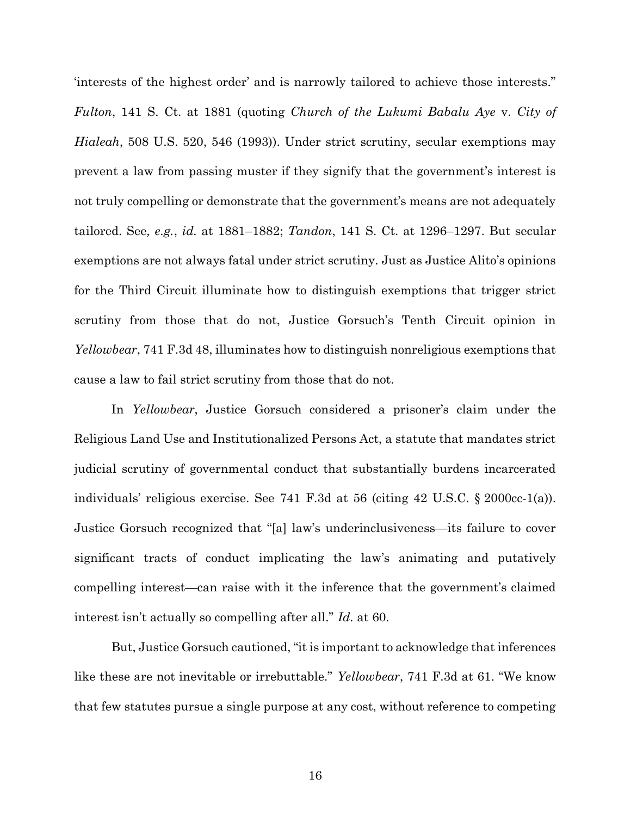'interests of the highest order' and is narrowly tailored to achieve those interests." Fulton, 141 S. Ct. at 1881 (quoting Church of the Lukumi Babalu Aye v. City of Hialeah, 508 U.S. 520, 546 (1993)). Under strict scrutiny, secular exemptions may prevent a law from passing muster if they signify that the government's interest is not truly compelling or demonstrate that the government's means are not adequately tailored. See, e.g., id. at 1881–1882; Tandon, 141 S. Ct. at 1296–1297. But secular exemptions are not always fatal under strict scrutiny. Just as Justice Alito's opinions for the Third Circuit illuminate how to distinguish exemptions that trigger strict scrutiny from those that do not, Justice Gorsuch's Tenth Circuit opinion in Yellowbear, 741 F.3d 48, illuminates how to distinguish nonreligious exemptions that cause a law to fail strict scrutiny from those that do not.

In Yellowbear, Justice Gorsuch considered a prisoner's claim under the Religious Land Use and Institutionalized Persons Act, a statute that mandates strict judicial scrutiny of governmental conduct that substantially burdens incarcerated individuals' religious exercise. See 741 F.3d at 56 (citing 42 U.S.C. § 2000cc-1(a)). Justice Gorsuch recognized that "[a] law's underinclusiveness—its failure to cover significant tracts of conduct implicating the law's animating and putatively compelling interest—can raise with it the inference that the government's claimed interest isn't actually so compelling after all." Id. at 60.

But, Justice Gorsuch cautioned, "it is important to acknowledge that inferences like these are not inevitable or irrebuttable." *Yellowbear*, 741 F.3d at 61. "We know that few statutes pursue a single purpose at any cost, without reference to competing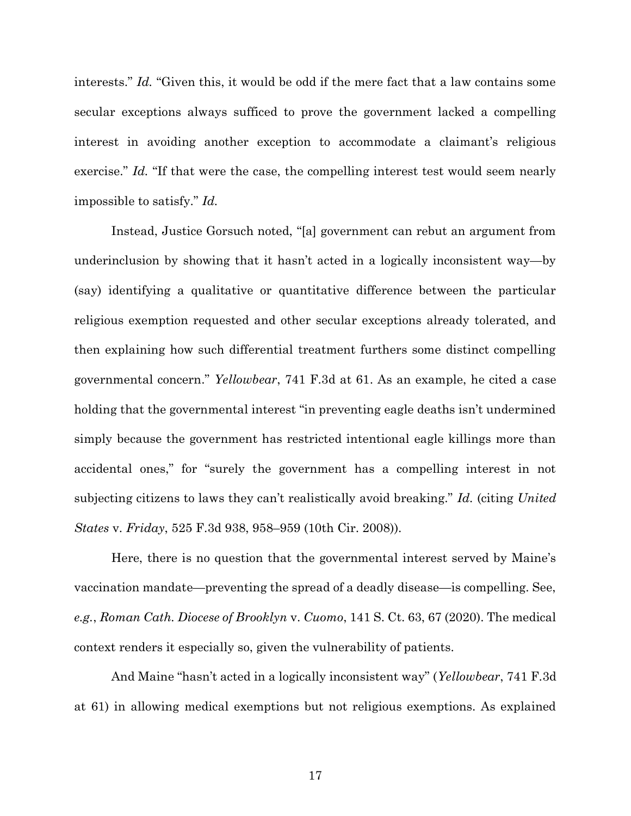interests." Id. "Given this, it would be odd if the mere fact that a law contains some secular exceptions always sufficed to prove the government lacked a compelling interest in avoiding another exception to accommodate a claimant's religious exercise." Id. "If that were the case, the compelling interest test would seem nearly impossible to satisfy." Id.

Instead, Justice Gorsuch noted, "[a] government can rebut an argument from underinclusion by showing that it hasn't acted in a logically inconsistent way—by (say) identifying a qualitative or quantitative difference between the particular religious exemption requested and other secular exceptions already tolerated, and then explaining how such differential treatment furthers some distinct compelling governmental concern." Yellowbear, 741 F.3d at 61. As an example, he cited a case holding that the governmental interest "in preventing eagle deaths isn't undermined simply because the government has restricted intentional eagle killings more than accidental ones," for "surely the government has a compelling interest in not subjecting citizens to laws they can't realistically avoid breaking." Id. (citing United States v. Friday, 525 F.3d 938, 958–959 (10th Cir. 2008)).

Here, there is no question that the governmental interest served by Maine's vaccination mandate—preventing the spread of a deadly disease—is compelling. See, e.g., Roman Cath. Diocese of Brooklyn v. Cuomo, 141 S. Ct. 63, 67 (2020). The medical context renders it especially so, given the vulnerability of patients.

And Maine "hasn't acted in a logically inconsistent way" (*Yellowbear*, 741 F.3d) at 61) in allowing medical exemptions but not religious exemptions. As explained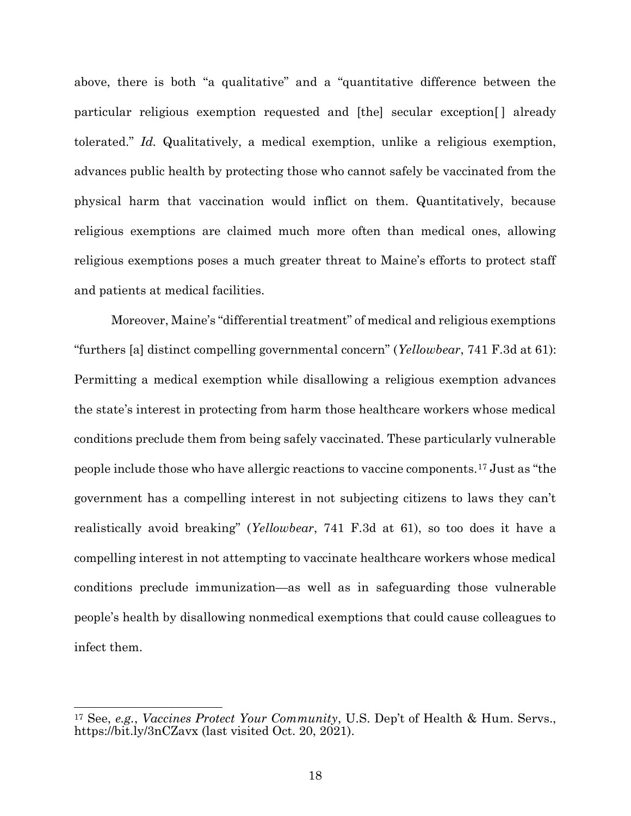above, there is both "a qualitative" and a "quantitative difference between the particular religious exemption requested and [the] secular exception[ ] already tolerated." Id. Qualitatively, a medical exemption, unlike a religious exemption, advances public health by protecting those who cannot safely be vaccinated from the physical harm that vaccination would inflict on them. Quantitatively, because religious exemptions are claimed much more often than medical ones, allowing religious exemptions poses a much greater threat to Maine's efforts to protect staff and patients at medical facilities.

Moreover, Maine's "differential treatment" of medical and religious exemptions "furthers [a] distinct compelling governmental concern" (Yellowbear, 741 F.3d at 61): Permitting a medical exemption while disallowing a religious exemption advances the state's interest in protecting from harm those healthcare workers whose medical conditions preclude them from being safely vaccinated. These particularly vulnerable people include those who have allergic reactions to vaccine components.17 Just as "the government has a compelling interest in not subjecting citizens to laws they can't realistically avoid breaking" (Yellowbear, 741 F.3d at 61), so too does it have a compelling interest in not attempting to vaccinate healthcare workers whose medical conditions preclude immunization—as well as in safeguarding those vulnerable people's health by disallowing nonmedical exemptions that could cause colleagues to infect them.

<sup>&</sup>lt;sup>17</sup> See, *e.g., Vaccines Protect Your Community*, U.S. Dep't of Health & Hum. Servs., https://bit.ly/3nCZavx (last visited Oct. 20, 2021).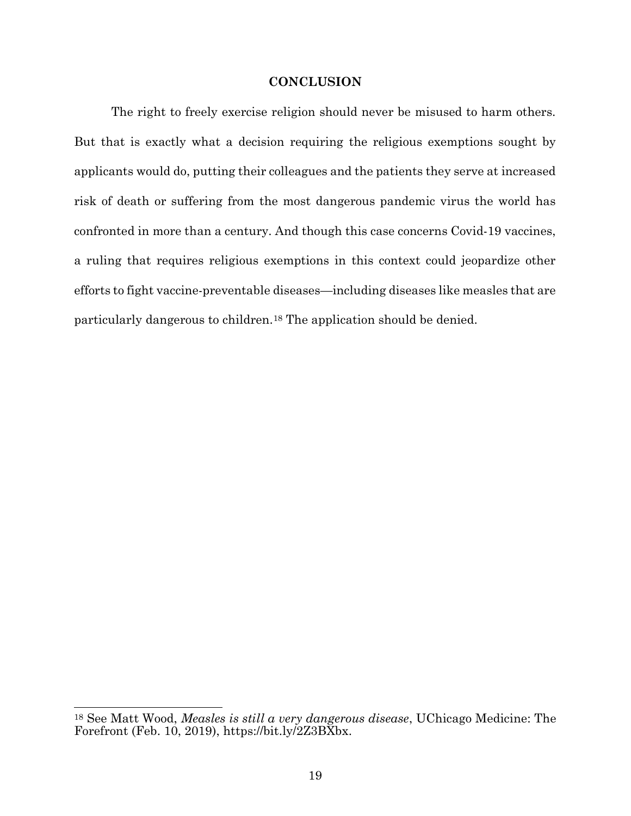#### **CONCLUSION**

The right to freely exercise religion should never be misused to harm others. But that is exactly what a decision requiring the religious exemptions sought by applicants would do, putting their colleagues and the patients they serve at increased risk of death or suffering from the most dangerous pandemic virus the world has confronted in more than a century. And though this case concerns Covid-19 vaccines, a ruling that requires religious exemptions in this context could jeopardize other efforts to fight vaccine-preventable diseases—including diseases like measles that are particularly dangerous to children.18 The application should be denied.

<sup>18</sup> See Matt Wood, Measles is still a very dangerous disease, UChicago Medicine: The Forefront (Feb. 10, 2019), https://bit.ly/2Z3BXbx.